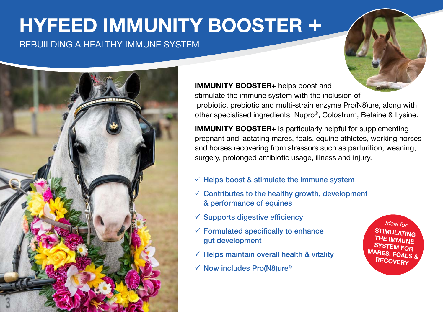# **HYFEED IMMUNITY BOOSTER +**

## REBUILDING A HEALTHY IMMUNE SYSTEM



#### **IMMUNITY BOOSTER+** helps boost and

stimulate the immune system with the inclusion of probiotic, prebiotic and multi-strain enzyme Pro(N8)ure, along with other specialised ingredients, Nupro®, Colostrum, Betaine & Lysine.

**IMMUNITY BOOSTER+** is particularly helpful for supplementing pregnant and lactating mares, foals, equine athletes, working horses and horses recovering from stressors such as parturition, weaning, surgery, prolonged antibiotic usage, illness and injury.

- $\checkmark$  Helps boost & stimulate the immune system
- $\checkmark$  Contributes to the healthy growth, development & performance of equines
- $\checkmark$  Supports digestive efficiency
- $\checkmark$  Formulated specifically to enhance gut development
- $\checkmark$  Helps maintain overall health & vitality
- $\checkmark$  Now includes Pro(N8)ure®

*Ideal for* **STIMULATING THE IMMUNE SYSTEM FOR MARES, FOALS & RECOVERY**